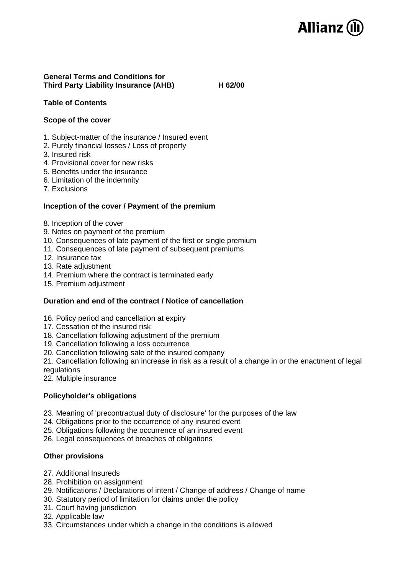

# **General Terms and Conditions for Third Party Liability Insurance (AHB) H 62/00**

# **Table of Contents**

# **Scope of the cover**

- 1. Subject-matter of the insurance / Insured event
- 2. Purely financial losses / Loss of property
- 3. Insured risk
- 4. Provisional cover for new risks
- 5. Benefits under the insurance
- 6. Limitation of the indemnity
- 7. Exclusions

# **Inception of the cover / Payment of the premium**

- 8. Inception of the cover
- 9. Notes on payment of the premium
- 10. Consequences of late payment of the first or single premium
- 11. Consequences of late payment of subsequent premiums
- 12. Insurance tax
- 13. Rate adjustment
- 14. Premium where the contract is terminated early
- 15. Premium adjustment

# **Duration and end of the contract / Notice of cancellation**

- 16. Policy period and cancellation at expiry
- 17. Cessation of the insured risk
- 18. Cancellation following adjustment of the premium
- 19. Cancellation following a loss occurrence
- 20. Cancellation following sale of the insured company

21. Cancellation following an increase in risk as a result of a change in or the enactment of legal regulations

22. Multiple insurance

### **Policyholder's obligations**

- 23. Meaning of 'precontractual duty of disclosure' for the purposes of the law
- 24. Obligations prior to the occurrence of any insured event
- 25. Obligations following the occurrence of an insured event

26. Legal consequences of breaches of obligations

### **Other provisions**

- 27. Additional Insureds
- 28. Prohibition on assignment
- 29. Notifications / Declarations of intent / Change of address / Change of name
- 30. Statutory period of limitation for claims under the policy
- 31. Court having jurisdiction
- 32. Applicable law
- 33. Circumstances under which a change in the conditions is allowed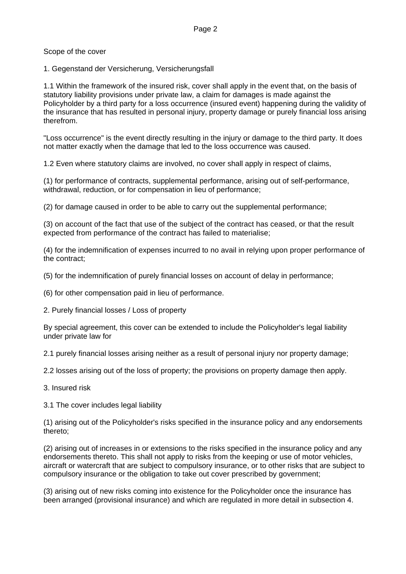Scope of the cover

1. Gegenstand der Versicherung, Versicherungsfall

1.1 Within the framework of the insured risk, cover shall apply in the event that, on the basis of statutory liability provisions under private law, a claim for damages is made against the Policyholder by a third party for a loss occurrence (insured event) happening during the validity of the insurance that has resulted in personal injury, property damage or purely financial loss arising therefrom.

"Loss occurrence" is the event directly resulting in the injury or damage to the third party. It does not matter exactly when the damage that led to the loss occurrence was caused.

1.2 Even where statutory claims are involved, no cover shall apply in respect of claims,

(1) for performance of contracts, supplemental performance, arising out of self-performance, withdrawal, reduction, or for compensation in lieu of performance;

(2) for damage caused in order to be able to carry out the supplemental performance;

(3) on account of the fact that use of the subject of the contract has ceased, or that the result expected from performance of the contract has failed to materialise;

(4) for the indemnification of expenses incurred to no avail in relying upon proper performance of the contract;

(5) for the indemnification of purely financial losses on account of delay in performance;

(6) for other compensation paid in lieu of performance.

2. Purely financial losses / Loss of property

By special agreement, this cover can be extended to include the Policyholder's legal liability under private law for

2.1 purely financial losses arising neither as a result of personal injury nor property damage;

2.2 losses arising out of the loss of property; the provisions on property damage then apply.

3. Insured risk

3.1 The cover includes legal liability

(1) arising out of the Policyholder's risks specified in the insurance policy and any endorsements thereto;

(2) arising out of increases in or extensions to the risks specified in the insurance policy and any endorsements thereto. This shall not apply to risks from the keeping or use of motor vehicles, aircraft or watercraft that are subject to compulsory insurance, or to other risks that are subject to compulsory insurance or the obligation to take out cover prescribed by government;

(3) arising out of new risks coming into existence for the Policyholder once the insurance has been arranged (provisional insurance) and which are regulated in more detail in subsection 4.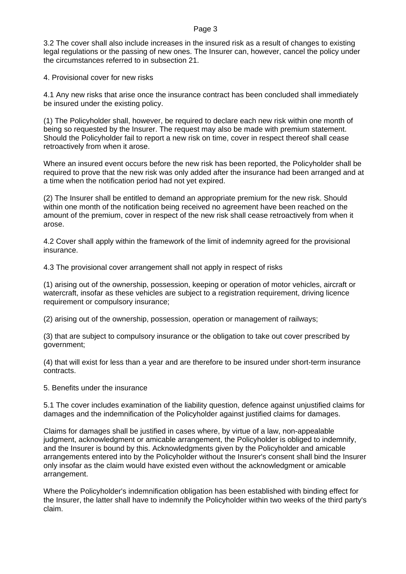3.2 The cover shall also include increases in the insured risk as a result of changes to existing legal regulations or the passing of new ones. The Insurer can, however, cancel the policy under the circumstances referred to in subsection 21.

4. Provisional cover for new risks

4.1 Any new risks that arise once the insurance contract has been concluded shall immediately be insured under the existing policy.

(1) The Policyholder shall, however, be required to declare each new risk within one month of being so requested by the Insurer. The request may also be made with premium statement. Should the Policyholder fail to report a new risk on time, cover in respect thereof shall cease retroactively from when it arose.

Where an insured event occurs before the new risk has been reported, the Policyholder shall be required to prove that the new risk was only added after the insurance had been arranged and at a time when the notification period had not yet expired.

(2) The Insurer shall be entitled to demand an appropriate premium for the new risk. Should within one month of the notification being received no agreement have been reached on the amount of the premium, cover in respect of the new risk shall cease retroactively from when it arose.

4.2 Cover shall apply within the framework of the limit of indemnity agreed for the provisional insurance.

4.3 The provisional cover arrangement shall not apply in respect of risks

(1) arising out of the ownership, possession, keeping or operation of motor vehicles, aircraft or watercraft, insofar as these vehicles are subject to a registration requirement, driving licence requirement or compulsory insurance;

(2) arising out of the ownership, possession, operation or management of railways;

(3) that are subject to compulsory insurance or the obligation to take out cover prescribed by government;

(4) that will exist for less than a year and are therefore to be insured under short-term insurance contracts.

### 5. Benefits under the insurance

5.1 The cover includes examination of the liability question, defence against unjustified claims for damages and the indemnification of the Policyholder against justified claims for damages.

Claims for damages shall be justified in cases where, by virtue of a law, non-appealable judgment, acknowledgment or amicable arrangement, the Policyholder is obliged to indemnify, and the Insurer is bound by this. Acknowledgments given by the Policyholder and amicable arrangements entered into by the Policyholder without the Insurer's consent shall bind the Insurer only insofar as the claim would have existed even without the acknowledgment or amicable arrangement.

Where the Policyholder's indemnification obligation has been established with binding effect for the Insurer, the latter shall have to indemnify the Policyholder within two weeks of the third party's claim.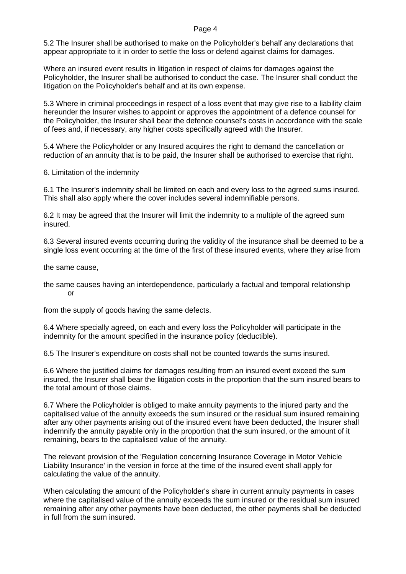5.2 The Insurer shall be authorised to make on the Policyholder's behalf any declarations that appear appropriate to it in order to settle the loss or defend against claims for damages.

Where an insured event results in litigation in respect of claims for damages against the Policyholder, the Insurer shall be authorised to conduct the case. The Insurer shall conduct the litigation on the Policyholder's behalf and at its own expense.

5.3 Where in criminal proceedings in respect of a loss event that may give rise to a liability claim hereunder the Insurer wishes to appoint or approves the appointment of a defence counsel for the Policyholder, the Insurer shall bear the defence counsel's costs in accordance with the scale of fees and, if necessary, any higher costs specifically agreed with the Insurer.

5.4 Where the Policyholder or any Insured acquires the right to demand the cancellation or reduction of an annuity that is to be paid, the Insurer shall be authorised to exercise that right.

6. Limitation of the indemnity

6.1 The Insurer's indemnity shall be limited on each and every loss to the agreed sums insured. This shall also apply where the cover includes several indemnifiable persons.

6.2 It may be agreed that the Insurer will limit the indemnity to a multiple of the agreed sum insured.

6.3 Several insured events occurring during the validity of the insurance shall be deemed to be a single loss event occurring at the time of the first of these insured events, where they arise from

the same cause,

the same causes having an interdependence, particularly a factual and temporal relationship or

from the supply of goods having the same defects.

6.4 Where specially agreed, on each and every loss the Policyholder will participate in the indemnity for the amount specified in the insurance policy (deductible).

6.5 The Insurer's expenditure on costs shall not be counted towards the sums insured.

6.6 Where the justified claims for damages resulting from an insured event exceed the sum insured, the Insurer shall bear the litigation costs in the proportion that the sum insured bears to the total amount of those claims.

6.7 Where the Policyholder is obliged to make annuity payments to the injured party and the capitalised value of the annuity exceeds the sum insured or the residual sum insured remaining after any other payments arising out of the insured event have been deducted, the Insurer shall indemnify the annuity payable only in the proportion that the sum insured, or the amount of it remaining, bears to the capitalised value of the annuity.

The relevant provision of the 'Regulation concerning Insurance Coverage in Motor Vehicle Liability Insurance' in the version in force at the time of the insured event shall apply for calculating the value of the annuity.

When calculating the amount of the Policyholder's share in current annuity payments in cases where the capitalised value of the annuity exceeds the sum insured or the residual sum insured remaining after any other payments have been deducted, the other payments shall be deducted in full from the sum insured.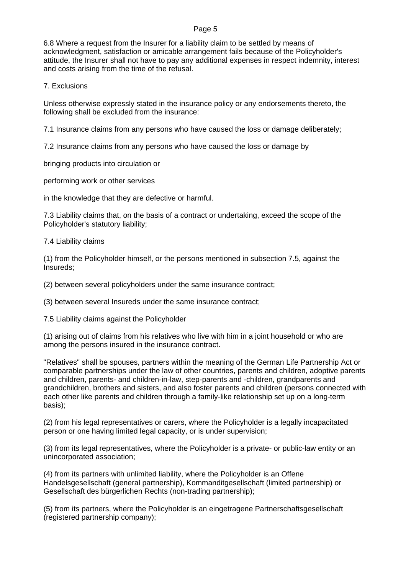6.8 Where a request from the Insurer for a liability claim to be settled by means of acknowledgment, satisfaction or amicable arrangement fails because of the Policyholder's attitude, the Insurer shall not have to pay any additional expenses in respect indemnity, interest and costs arising from the time of the refusal.

# 7. Exclusions

Unless otherwise expressly stated in the insurance policy or any endorsements thereto, the following shall be excluded from the insurance:

7.1 Insurance claims from any persons who have caused the loss or damage deliberately;

7.2 Insurance claims from any persons who have caused the loss or damage by

bringing products into circulation or

performing work or other services

in the knowledge that they are defective or harmful.

7.3 Liability claims that, on the basis of a contract or undertaking, exceed the scope of the Policyholder's statutory liability;

7.4 Liability claims

(1) from the Policyholder himself, or the persons mentioned in subsection 7.5, against the Insureds;

(2) between several policyholders under the same insurance contract;

(3) between several Insureds under the same insurance contract;

7.5 Liability claims against the Policyholder

(1) arising out of claims from his relatives who live with him in a joint household or who are among the persons insured in the insurance contract.

"Relatives" shall be spouses, partners within the meaning of the German Life Partnership Act or comparable partnerships under the law of other countries, parents and children, adoptive parents and children, parents- and children-in-law, step-parents and -children, grandparents and grandchildren, brothers and sisters, and also foster parents and children (persons connected with each other like parents and children through a family-like relationship set up on a long-term basis);

(2) from his legal representatives or carers, where the Policyholder is a legally incapacitated person or one having limited legal capacity, or is under supervision;

(3) from its legal representatives, where the Policyholder is a private- or public-law entity or an unincorporated association;

(4) from its partners with unlimited liability, where the Policyholder is an Offene Handelsgesellschaft (general partnership), Kommanditgesellschaft (limited partnership) or Gesellschaft des bürgerlichen Rechts (non-trading partnership);

(5) from its partners, where the Policyholder is an eingetragene Partnerschaftsgesellschaft (registered partnership company);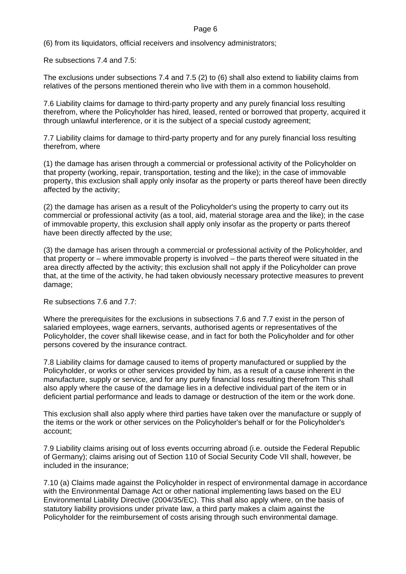(6) from its liquidators, official receivers and insolvency administrators;

Re subsections 7.4 and 7.5:

The exclusions under subsections 7.4 and 7.5 (2) to (6) shall also extend to liability claims from relatives of the persons mentioned therein who live with them in a common household.

7.6 Liability claims for damage to third-party property and any purely financial loss resulting therefrom, where the Policyholder has hired, leased, rented or borrowed that property, acquired it through unlawful interference, or it is the subject of a special custody agreement;

7.7 Liability claims for damage to third-party property and for any purely financial loss resulting therefrom, where

(1) the damage has arisen through a commercial or professional activity of the Policyholder on that property (working, repair, transportation, testing and the like); in the case of immovable property, this exclusion shall apply only insofar as the property or parts thereof have been directly affected by the activity;

(2) the damage has arisen as a result of the Policyholder's using the property to carry out its commercial or professional activity (as a tool, aid, material storage area and the like); in the case of immovable property, this exclusion shall apply only insofar as the property or parts thereof have been directly affected by the use;

(3) the damage has arisen through a commercial or professional activity of the Policyholder, and that property or – where immovable property is involved – the parts thereof were situated in the area directly affected by the activity; this exclusion shall not apply if the Policyholder can prove that, at the time of the activity, he had taken obviously necessary protective measures to prevent damage;

Re subsections 7.6 and 7.7:

Where the prerequisites for the exclusions in subsections 7.6 and 7.7 exist in the person of salaried employees, wage earners, servants, authorised agents or representatives of the Policyholder, the cover shall likewise cease, and in fact for both the Policyholder and for other persons covered by the insurance contract.

7.8 Liability claims for damage caused to items of property manufactured or supplied by the Policyholder, or works or other services provided by him, as a result of a cause inherent in the manufacture, supply or service, and for any purely financial loss resulting therefrom This shall also apply where the cause of the damage lies in a defective individual part of the item or in deficient partial performance and leads to damage or destruction of the item or the work done.

This exclusion shall also apply where third parties have taken over the manufacture or supply of the items or the work or other services on the Policyholder's behalf or for the Policyholder's account;

7.9 Liability claims arising out of loss events occurring abroad (i.e. outside the Federal Republic of Germany); claims arising out of Section 110 of Social Security Code VII shall, however, be included in the insurance;

7.10 (a) Claims made against the Policyholder in respect of environmental damage in accordance with the Environmental Damage Act or other national implementing laws based on the EU Environmental Liability Directive (2004/35/EC). This shall also apply where, on the basis of statutory liability provisions under private law, a third party makes a claim against the Policyholder for the reimbursement of costs arising through such environmental damage.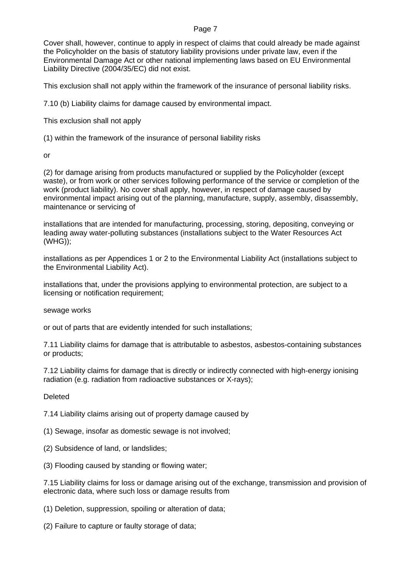Cover shall, however, continue to apply in respect of claims that could already be made against the Policyholder on the basis of statutory liability provisions under private law, even if the Environmental Damage Act or other national implementing laws based on EU Environmental Liability Directive (2004/35/EC) did not exist.

This exclusion shall not apply within the framework of the insurance of personal liability risks.

7.10 (b) Liability claims for damage caused by environmental impact.

This exclusion shall not apply

(1) within the framework of the insurance of personal liability risks

or

(2) for damage arising from products manufactured or supplied by the Policyholder (except waste), or from work or other services following performance of the service or completion of the work (product liability). No cover shall apply, however, in respect of damage caused by environmental impact arising out of the planning, manufacture, supply, assembly, disassembly, maintenance or servicing of

installations that are intended for manufacturing, processing, storing, depositing, conveying or leading away water-polluting substances (installations subject to the Water Resources Act (WHG));

installations as per Appendices 1 or 2 to the Environmental Liability Act (installations subject to the Environmental Liability Act).

installations that, under the provisions applying to environmental protection, are subject to a licensing or notification requirement;

sewage works

or out of parts that are evidently intended for such installations;

7.11 Liability claims for damage that is attributable to asbestos, asbestos-containing substances or products;

7.12 Liability claims for damage that is directly or indirectly connected with high-energy ionising radiation (e.g. radiation from radioactive substances or X-rays);

**Deleted** 

7.14 Liability claims arising out of property damage caused by

(1) Sewage, insofar as domestic sewage is not involved;

- (2) Subsidence of land, or landslides;
- (3) Flooding caused by standing or flowing water;

7.15 Liability claims for loss or damage arising out of the exchange, transmission and provision of electronic data, where such loss or damage results from

(1) Deletion, suppression, spoiling or alteration of data;

(2) Failure to capture or faulty storage of data;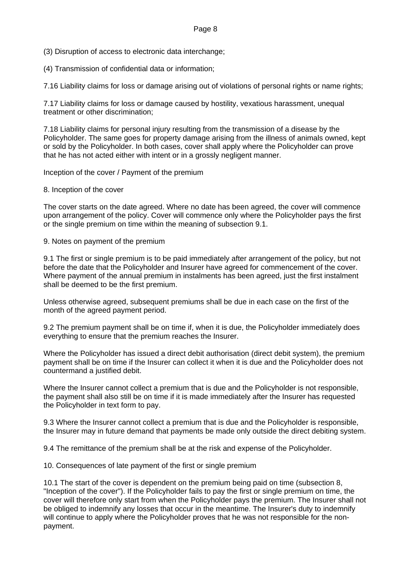(3) Disruption of access to electronic data interchange;

(4) Transmission of confidential data or information;

7.16 Liability claims for loss or damage arising out of violations of personal rights or name rights;

7.17 Liability claims for loss or damage caused by hostility, vexatious harassment, unequal treatment or other discrimination;

7.18 Liability claims for personal injury resulting from the transmission of a disease by the Policyholder. The same goes for property damage arising from the illness of animals owned, kept or sold by the Policyholder. In both cases, cover shall apply where the Policyholder can prove that he has not acted either with intent or in a grossly negligent manner.

Inception of the cover / Payment of the premium

8. Inception of the cover

The cover starts on the date agreed. Where no date has been agreed, the cover will commence upon arrangement of the policy. Cover will commence only where the Policyholder pays the first or the single premium on time within the meaning of subsection 9.1.

9. Notes on payment of the premium

9.1 The first or single premium is to be paid immediately after arrangement of the policy, but not before the date that the Policyholder and Insurer have agreed for commencement of the cover. Where payment of the annual premium in instalments has been agreed, just the first instalment shall be deemed to be the first premium.

Unless otherwise agreed, subsequent premiums shall be due in each case on the first of the month of the agreed payment period.

9.2 The premium payment shall be on time if, when it is due, the Policyholder immediately does everything to ensure that the premium reaches the Insurer.

Where the Policyholder has issued a direct debit authorisation (direct debit system), the premium payment shall be on time if the Insurer can collect it when it is due and the Policyholder does not countermand a justified debit.

Where the Insurer cannot collect a premium that is due and the Policyholder is not responsible, the payment shall also still be on time if it is made immediately after the Insurer has requested the Policyholder in text form to pay.

9.3 Where the Insurer cannot collect a premium that is due and the Policyholder is responsible, the Insurer may in future demand that payments be made only outside the direct debiting system.

9.4 The remittance of the premium shall be at the risk and expense of the Policyholder.

10. Consequences of late payment of the first or single premium

10.1 The start of the cover is dependent on the premium being paid on time (subsection 8, "Inception of the cover"). If the Policyholder fails to pay the first or single premium on time, the cover will therefore only start from when the Policyholder pays the premium. The Insurer shall not be obliged to indemnify any losses that occur in the meantime. The Insurer's duty to indemnify will continue to apply where the Policyholder proves that he was not responsible for the nonpayment.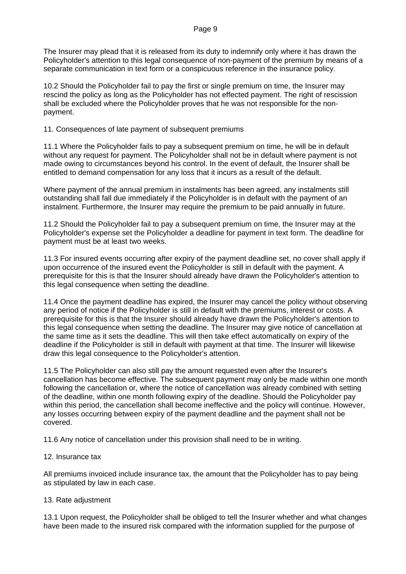The Insurer may plead that it is released from its duty to indemnify only where it has drawn the Policyholder's attention to this legal consequence of non-payment of the premium by means of a separate communication in text form or a conspicuous reference in the insurance policy.

10.2 Should the Policyholder fail to pay the first or single premium on time, the Insurer may rescind the policy as long as the Policyholder has not effected payment. The right of rescission shall be excluded where the Policyholder proves that he was not responsible for the nonpayment.

11. Consequences of late payment of subsequent premiums

11.1 Where the Policyholder fails to pay a subsequent premium on time, he will be in default without any request for payment. The Policyholder shall not be in default where payment is not made owing to circumstances beyond his control. In the event of default, the Insurer shall be entitled to demand compensation for any loss that it incurs as a result of the default.

Where payment of the annual premium in instalments has been agreed, any instalments still outstanding shall fall due immediately if the Policyholder is in default with the payment of an instalment. Furthermore, the Insurer may require the premium to be paid annually in future.

11.2 Should the Policyholder fail to pay a subsequent premium on time, the Insurer may at the Policyholder's expense set the Policyholder a deadline for payment in text form. The deadline for payment must be at least two weeks.

11.3 For insured events occurring after expiry of the payment deadline set, no cover shall apply if upon occurrence of the insured event the Policyholder is still in default with the payment. A prerequisite for this is that the Insurer should already have drawn the Policyholder's attention to this legal consequence when setting the deadline.

11.4 Once the payment deadline has expired, the Insurer may cancel the policy without observing any period of notice if the Policyholder is still in default with the premiums, interest or costs. A prerequisite for this is that the Insurer should already have drawn the Policyholder's attention to this legal consequence when setting the deadline. The Insurer may give notice of cancellation at the same time as it sets the deadline. This will then take effect automatically on expiry of the deadline if the Policyholder is still in default with payment at that time. The Insurer will likewise draw this legal consequence to the Policyholder's attention.

11.5 The Policyholder can also still pay the amount requested even after the Insurer's cancellation has become effective. The subsequent payment may only be made within one month following the cancellation or, where the notice of cancellation was already combined with setting of the deadline, within one month following expiry of the deadline. Should the Policyholder pay within this period, the cancellation shall become ineffective and the policy will continue. However, any losses occurring between expiry of the payment deadline and the payment shall not be covered.

11.6 Any notice of cancellation under this provision shall need to be in writing.

# 12. Insurance tax

All premiums invoiced include insurance tax, the amount that the Policyholder has to pay being as stipulated by law in each case.

# 13. Rate adjustment

13.1 Upon request, the Policyholder shall be obliged to tell the Insurer whether and what changes have been made to the insured risk compared with the information supplied for the purpose of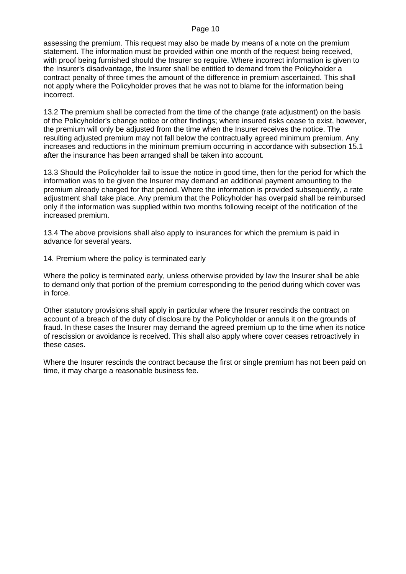assessing the premium. This request may also be made by means of a note on the premium statement. The information must be provided within one month of the request being received, with proof being furnished should the Insurer so require. Where incorrect information is given to the Insurer's disadvantage, the Insurer shall be entitled to demand from the Policyholder a contract penalty of three times the amount of the difference in premium ascertained. This shall not apply where the Policyholder proves that he was not to blame for the information being incorrect.

13.2 The premium shall be corrected from the time of the change (rate adjustment) on the basis of the Policyholder's change notice or other findings; where insured risks cease to exist, however, the premium will only be adjusted from the time when the Insurer receives the notice. The resulting adjusted premium may not fall below the contractually agreed minimum premium. Any increases and reductions in the minimum premium occurring in accordance with subsection 15.1 after the insurance has been arranged shall be taken into account.

13.3 Should the Policyholder fail to issue the notice in good time, then for the period for which the information was to be given the Insurer may demand an additional payment amounting to the premium already charged for that period. Where the information is provided subsequently, a rate adjustment shall take place. Any premium that the Policyholder has overpaid shall be reimbursed only if the information was supplied within two months following receipt of the notification of the increased premium.

13.4 The above provisions shall also apply to insurances for which the premium is paid in advance for several years.

14. Premium where the policy is terminated early

Where the policy is terminated early, unless otherwise provided by law the Insurer shall be able to demand only that portion of the premium corresponding to the period during which cover was in force.

Other statutory provisions shall apply in particular where the Insurer rescinds the contract on account of a breach of the duty of disclosure by the Policyholder or annuls it on the grounds of fraud. In these cases the Insurer may demand the agreed premium up to the time when its notice of rescission or avoidance is received. This shall also apply where cover ceases retroactively in these cases.

Where the Insurer rescinds the contract because the first or single premium has not been paid on time, it may charge a reasonable business fee.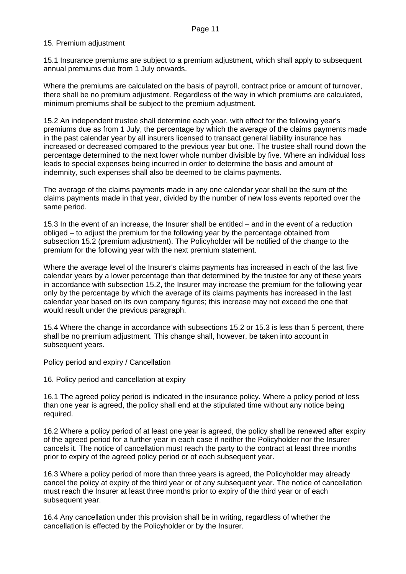### 15. Premium adjustment

15.1 Insurance premiums are subject to a premium adjustment, which shall apply to subsequent annual premiums due from 1 July onwards.

Where the premiums are calculated on the basis of payroll, contract price or amount of turnover, there shall be no premium adjustment. Regardless of the way in which premiums are calculated, minimum premiums shall be subject to the premium adjustment.

15.2 An independent trustee shall determine each year, with effect for the following year's premiums due as from 1 July, the percentage by which the average of the claims payments made in the past calendar year by all insurers licensed to transact general liability insurance has increased or decreased compared to the previous year but one. The trustee shall round down the percentage determined to the next lower whole number divisible by five. Where an individual loss leads to special expenses being incurred in order to determine the basis and amount of indemnity, such expenses shall also be deemed to be claims payments.

The average of the claims payments made in any one calendar year shall be the sum of the claims payments made in that year, divided by the number of new loss events reported over the same period.

15.3 In the event of an increase, the Insurer shall be entitled – and in the event of a reduction obliged – to adjust the premium for the following year by the percentage obtained from subsection 15.2 (premium adjustment). The Policyholder will be notified of the change to the premium for the following year with the next premium statement.

Where the average level of the Insurer's claims payments has increased in each of the last five calendar years by a lower percentage than that determined by the trustee for any of these years in accordance with subsection 15.2, the Insurer may increase the premium for the following year only by the percentage by which the average of its claims payments has increased in the last calendar year based on its own company figures; this increase may not exceed the one that would result under the previous paragraph.

15.4 Where the change in accordance with subsections 15.2 or 15.3 is less than 5 percent, there shall be no premium adjustment. This change shall, however, be taken into account in subsequent years.

Policy period and expiry / Cancellation

16. Policy period and cancellation at expiry

16.1 The agreed policy period is indicated in the insurance policy. Where a policy period of less than one year is agreed, the policy shall end at the stipulated time without any notice being required.

16.2 Where a policy period of at least one year is agreed, the policy shall be renewed after expiry of the agreed period for a further year in each case if neither the Policyholder nor the Insurer cancels it. The notice of cancellation must reach the party to the contract at least three months prior to expiry of the agreed policy period or of each subsequent year.

16.3 Where a policy period of more than three years is agreed, the Policyholder may already cancel the policy at expiry of the third year or of any subsequent year. The notice of cancellation must reach the Insurer at least three months prior to expiry of the third year or of each subsequent year.

16.4 Any cancellation under this provision shall be in writing, regardless of whether the cancellation is effected by the Policyholder or by the Insurer.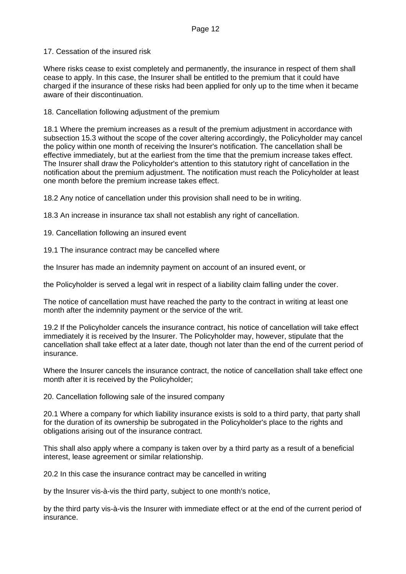17. Cessation of the insured risk

Where risks cease to exist completely and permanently, the insurance in respect of them shall cease to apply. In this case, the Insurer shall be entitled to the premium that it could have charged if the insurance of these risks had been applied for only up to the time when it became aware of their discontinuation.

### 18. Cancellation following adjustment of the premium

18.1 Where the premium increases as a result of the premium adjustment in accordance with subsection 15.3 without the scope of the cover altering accordingly, the Policyholder may cancel the policy within one month of receiving the Insurer's notification. The cancellation shall be effective immediately, but at the earliest from the time that the premium increase takes effect. The Insurer shall draw the Policyholder's attention to this statutory right of cancellation in the notification about the premium adjustment. The notification must reach the Policyholder at least one month before the premium increase takes effect.

18.2 Any notice of cancellation under this provision shall need to be in writing.

18.3 An increase in insurance tax shall not establish any right of cancellation.

19. Cancellation following an insured event

19.1 The insurance contract may be cancelled where

the Insurer has made an indemnity payment on account of an insured event, or

the Policyholder is served a legal writ in respect of a liability claim falling under the cover.

The notice of cancellation must have reached the party to the contract in writing at least one month after the indemnity payment or the service of the writ.

19.2 If the Policyholder cancels the insurance contract, his notice of cancellation will take effect immediately it is received by the Insurer. The Policyholder may, however, stipulate that the cancellation shall take effect at a later date, though not later than the end of the current period of insurance.

Where the Insurer cancels the insurance contract, the notice of cancellation shall take effect one month after it is received by the Policyholder;

20. Cancellation following sale of the insured company

20.1 Where a company for which liability insurance exists is sold to a third party, that party shall for the duration of its ownership be subrogated in the Policyholder's place to the rights and obligations arising out of the insurance contract.

This shall also apply where a company is taken over by a third party as a result of a beneficial interest, lease agreement or similar relationship.

20.2 In this case the insurance contract may be cancelled in writing

by the Insurer vis-à-vis the third party, subject to one month's notice,

by the third party vis-à-vis the Insurer with immediate effect or at the end of the current period of insurance.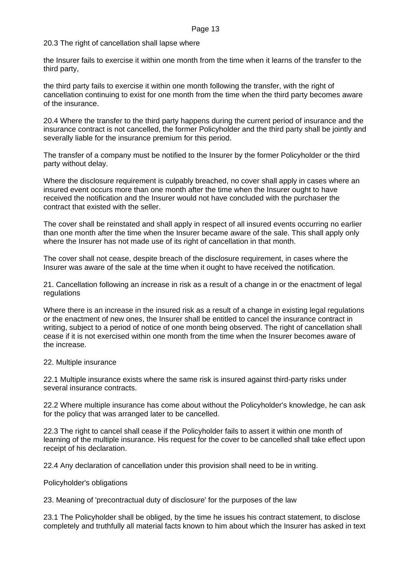20.3 The right of cancellation shall lapse where

the Insurer fails to exercise it within one month from the time when it learns of the transfer to the third party,

the third party fails to exercise it within one month following the transfer, with the right of cancellation continuing to exist for one month from the time when the third party becomes aware of the insurance.

20.4 Where the transfer to the third party happens during the current period of insurance and the insurance contract is not cancelled, the former Policyholder and the third party shall be jointly and severally liable for the insurance premium for this period.

The transfer of a company must be notified to the Insurer by the former Policyholder or the third party without delay.

Where the disclosure requirement is culpably breached, no cover shall apply in cases where an insured event occurs more than one month after the time when the Insurer ought to have received the notification and the Insurer would not have concluded with the purchaser the contract that existed with the seller.

The cover shall be reinstated and shall apply in respect of all insured events occurring no earlier than one month after the time when the Insurer became aware of the sale. This shall apply only where the Insurer has not made use of its right of cancellation in that month.

The cover shall not cease, despite breach of the disclosure requirement, in cases where the Insurer was aware of the sale at the time when it ought to have received the notification.

21. Cancellation following an increase in risk as a result of a change in or the enactment of legal regulations

Where there is an increase in the insured risk as a result of a change in existing legal regulations or the enactment of new ones, the Insurer shall be entitled to cancel the insurance contract in writing, subject to a period of notice of one month being observed. The right of cancellation shall cease if it is not exercised within one month from the time when the Insurer becomes aware of the increase.

### 22. Multiple insurance

22.1 Multiple insurance exists where the same risk is insured against third-party risks under several insurance contracts.

22.2 Where multiple insurance has come about without the Policyholder's knowledge, he can ask for the policy that was arranged later to be cancelled.

22.3 The right to cancel shall cease if the Policyholder fails to assert it within one month of learning of the multiple insurance. His request for the cover to be cancelled shall take effect upon receipt of his declaration.

22.4 Any declaration of cancellation under this provision shall need to be in writing.

Policyholder's obligations

23. Meaning of 'precontractual duty of disclosure' for the purposes of the law

23.1 The Policyholder shall be obliged, by the time he issues his contract statement, to disclose completely and truthfully all material facts known to him about which the Insurer has asked in text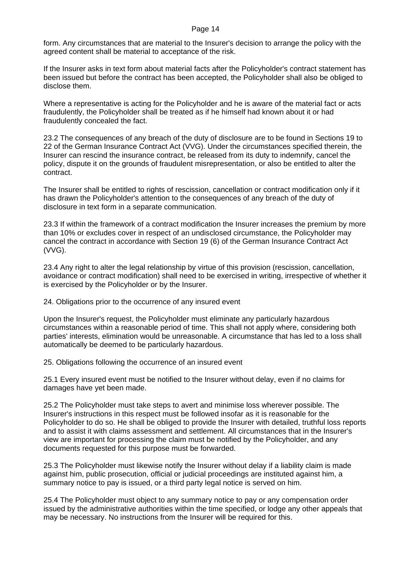form. Any circumstances that are material to the Insurer's decision to arrange the policy with the agreed content shall be material to acceptance of the risk.

If the Insurer asks in text form about material facts after the Policyholder's contract statement has been issued but before the contract has been accepted, the Policyholder shall also be obliged to disclose them.

Where a representative is acting for the Policyholder and he is aware of the material fact or acts fraudulently, the Policyholder shall be treated as if he himself had known about it or had fraudulently concealed the fact.

23.2 The consequences of any breach of the duty of disclosure are to be found in Sections 19 to 22 of the German Insurance Contract Act (VVG). Under the circumstances specified therein, the Insurer can rescind the insurance contract, be released from its duty to indemnify, cancel the policy, dispute it on the grounds of fraudulent misrepresentation, or also be entitled to alter the contract.

The Insurer shall be entitled to rights of rescission, cancellation or contract modification only if it has drawn the Policyholder's attention to the consequences of any breach of the duty of disclosure in text form in a separate communication.

23.3 If within the framework of a contract modification the Insurer increases the premium by more than 10% or excludes cover in respect of an undisclosed circumstance, the Policyholder may cancel the contract in accordance with Section 19 (6) of the German Insurance Contract Act (VVG).

23.4 Any right to alter the legal relationship by virtue of this provision (rescission, cancellation, avoidance or contract modification) shall need to be exercised in writing, irrespective of whether it is exercised by the Policyholder or by the Insurer.

24. Obligations prior to the occurrence of any insured event

Upon the Insurer's request, the Policyholder must eliminate any particularly hazardous circumstances within a reasonable period of time. This shall not apply where, considering both parties' interests, elimination would be unreasonable. A circumstance that has led to a loss shall automatically be deemed to be particularly hazardous.

25. Obligations following the occurrence of an insured event

25.1 Every insured event must be notified to the Insurer without delay, even if no claims for damages have yet been made.

25.2 The Policyholder must take steps to avert and minimise loss wherever possible. The Insurer's instructions in this respect must be followed insofar as it is reasonable for the Policyholder to do so. He shall be obliged to provide the Insurer with detailed, truthful loss reports and to assist it with claims assessment and settlement. All circumstances that in the Insurer's view are important for processing the claim must be notified by the Policyholder, and any documents requested for this purpose must be forwarded.

25.3 The Policyholder must likewise notify the Insurer without delay if a liability claim is made against him, public prosecution, official or judicial proceedings are instituted against him, a summary notice to pay is issued, or a third party legal notice is served on him.

25.4 The Policyholder must object to any summary notice to pay or any compensation order issued by the administrative authorities within the time specified, or lodge any other appeals that may be necessary. No instructions from the Insurer will be required for this.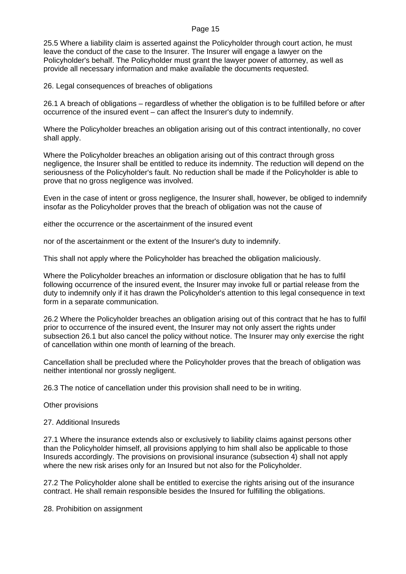25.5 Where a liability claim is asserted against the Policyholder through court action, he must leave the conduct of the case to the Insurer. The Insurer will engage a lawyer on the Policyholder's behalf. The Policyholder must grant the lawyer power of attorney, as well as provide all necessary information and make available the documents requested.

26. Legal consequences of breaches of obligations

26.1 A breach of obligations – regardless of whether the obligation is to be fulfilled before or after occurrence of the insured event – can affect the Insurer's duty to indemnify.

Where the Policyholder breaches an obligation arising out of this contract intentionally, no cover shall apply.

Where the Policyholder breaches an obligation arising out of this contract through gross negligence, the Insurer shall be entitled to reduce its indemnity. The reduction will depend on the seriousness of the Policyholder's fault. No reduction shall be made if the Policyholder is able to prove that no gross negligence was involved.

Even in the case of intent or gross negligence, the Insurer shall, however, be obliged to indemnify insofar as the Policyholder proves that the breach of obligation was not the cause of

either the occurrence or the ascertainment of the insured event

nor of the ascertainment or the extent of the Insurer's duty to indemnify.

This shall not apply where the Policyholder has breached the obligation maliciously.

Where the Policyholder breaches an information or disclosure obligation that he has to fulfil following occurrence of the insured event, the Insurer may invoke full or partial release from the duty to indemnify only if it has drawn the Policyholder's attention to this legal consequence in text form in a separate communication.

26.2 Where the Policyholder breaches an obligation arising out of this contract that he has to fulfil prior to occurrence of the insured event, the Insurer may not only assert the rights under subsection 26.1 but also cancel the policy without notice. The Insurer may only exercise the right of cancellation within one month of learning of the breach.

Cancellation shall be precluded where the Policyholder proves that the breach of obligation was neither intentional nor grossly negligent.

26.3 The notice of cancellation under this provision shall need to be in writing.

Other provisions

27. Additional Insureds

27.1 Where the insurance extends also or exclusively to liability claims against persons other than the Policyholder himself, all provisions applying to him shall also be applicable to those Insureds accordingly. The provisions on provisional insurance (subsection 4) shall not apply where the new risk arises only for an Insured but not also for the Policyholder.

27.2 The Policyholder alone shall be entitled to exercise the rights arising out of the insurance contract. He shall remain responsible besides the Insured for fulfilling the obligations.

28. Prohibition on assignment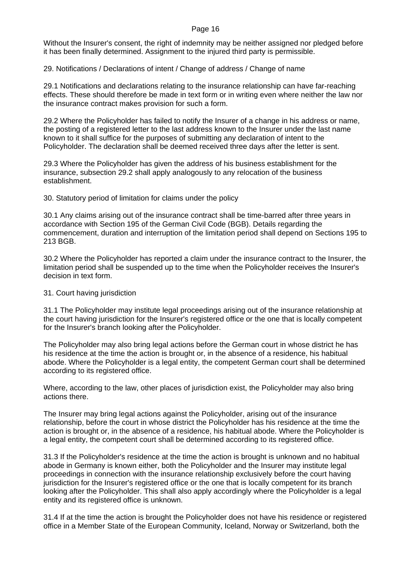Without the Insurer's consent, the right of indemnity may be neither assigned nor pledged before it has been finally determined. Assignment to the injured third party is permissible.

29. Notifications / Declarations of intent / Change of address / Change of name

29.1 Notifications and declarations relating to the insurance relationship can have far-reaching effects. These should therefore be made in text form or in writing even where neither the law nor the insurance contract makes provision for such a form.

29.2 Where the Policyholder has failed to notify the Insurer of a change in his address or name, the posting of a registered letter to the last address known to the Insurer under the last name known to it shall suffice for the purposes of submitting any declaration of intent to the Policyholder. The declaration shall be deemed received three days after the letter is sent.

29.3 Where the Policyholder has given the address of his business establishment for the insurance, subsection 29.2 shall apply analogously to any relocation of the business establishment.

30. Statutory period of limitation for claims under the policy

30.1 Any claims arising out of the insurance contract shall be time-barred after three years in accordance with Section 195 of the German Civil Code (BGB). Details regarding the commencement, duration and interruption of the limitation period shall depend on Sections 195 to 213 BGB.

30.2 Where the Policyholder has reported a claim under the insurance contract to the Insurer, the limitation period shall be suspended up to the time when the Policyholder receives the Insurer's decision in text form.

### 31. Court having jurisdiction

31.1 The Policyholder may institute legal proceedings arising out of the insurance relationship at the court having jurisdiction for the Insurer's registered office or the one that is locally competent for the Insurer's branch looking after the Policyholder.

The Policyholder may also bring legal actions before the German court in whose district he has his residence at the time the action is brought or, in the absence of a residence, his habitual abode. Where the Policyholder is a legal entity, the competent German court shall be determined according to its registered office.

Where, according to the law, other places of jurisdiction exist, the Policyholder may also bring actions there.

The Insurer may bring legal actions against the Policyholder, arising out of the insurance relationship, before the court in whose district the Policyholder has his residence at the time the action is brought or, in the absence of a residence, his habitual abode. Where the Policyholder is a legal entity, the competent court shall be determined according to its registered office.

31.3 If the Policyholder's residence at the time the action is brought is unknown and no habitual abode in Germany is known either, both the Policyholder and the Insurer may institute legal proceedings in connection with the insurance relationship exclusively before the court having jurisdiction for the Insurer's registered office or the one that is locally competent for its branch looking after the Policyholder. This shall also apply accordingly where the Policyholder is a legal entity and its registered office is unknown.

31.4 If at the time the action is brought the Policyholder does not have his residence or registered office in a Member State of the European Community, Iceland, Norway or Switzerland, both the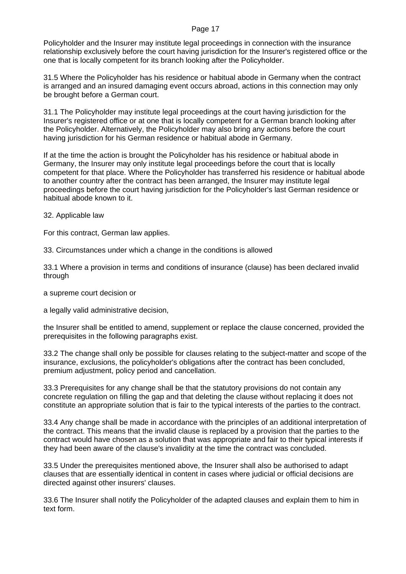Policyholder and the Insurer may institute legal proceedings in connection with the insurance relationship exclusively before the court having jurisdiction for the Insurer's registered office or the one that is locally competent for its branch looking after the Policyholder.

31.5 Where the Policyholder has his residence or habitual abode in Germany when the contract is arranged and an insured damaging event occurs abroad, actions in this connection may only be brought before a German court.

31.1 The Policyholder may institute legal proceedings at the court having jurisdiction for the Insurer's registered office or at one that is locally competent for a German branch looking after the Policyholder. Alternatively, the Policyholder may also bring any actions before the court having jurisdiction for his German residence or habitual abode in Germany.

If at the time the action is brought the Policyholder has his residence or habitual abode in Germany, the Insurer may only institute legal proceedings before the court that is locally competent for that place. Where the Policyholder has transferred his residence or habitual abode to another country after the contract has been arranged, the Insurer may institute legal proceedings before the court having jurisdiction for the Policyholder's last German residence or habitual abode known to it.

32. Applicable law

For this contract, German law applies.

33. Circumstances under which a change in the conditions is allowed

33.1 Where a provision in terms and conditions of insurance (clause) has been declared invalid through

a supreme court decision or

a legally valid administrative decision,

the Insurer shall be entitled to amend, supplement or replace the clause concerned, provided the prerequisites in the following paragraphs exist.

33.2 The change shall only be possible for clauses relating to the subject-matter and scope of the insurance, exclusions, the policyholder's obligations after the contract has been concluded, premium adjustment, policy period and cancellation.

33.3 Prerequisites for any change shall be that the statutory provisions do not contain any concrete regulation on filling the gap and that deleting the clause without replacing it does not constitute an appropriate solution that is fair to the typical interests of the parties to the contract.

33.4 Any change shall be made in accordance with the principles of an additional interpretation of the contract. This means that the invalid clause is replaced by a provision that the parties to the contract would have chosen as a solution that was appropriate and fair to their typical interests if they had been aware of the clause's invalidity at the time the contract was concluded.

33.5 Under the prerequisites mentioned above, the Insurer shall also be authorised to adapt clauses that are essentially identical in content in cases where judicial or official decisions are directed against other insurers' clauses.

33.6 The Insurer shall notify the Policyholder of the adapted clauses and explain them to him in text form.